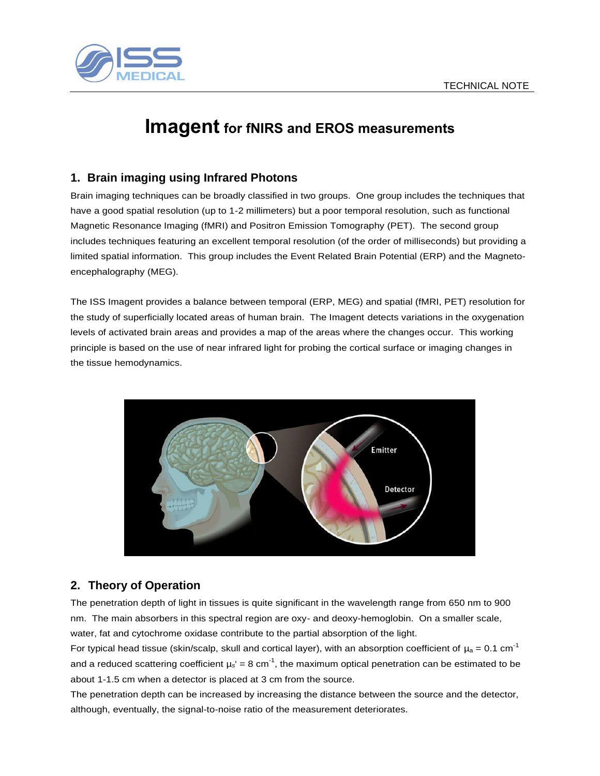

# **Imagent for fNIRS and EROS measurements**

## **1. Brain imaging using Infrared Photons**

Brain imaging techniques can be broadly classified in two groups. One group includes the techniques that have a good spatial resolution (up to 1-2 millimeters) but a poor temporal resolution, such as functional Magnetic Resonance Imaging (fMRI) and Positron Emission Tomography (PET). The second group includes techniques featuring an excellent temporal resolution (of the order of milliseconds) but providing a limited spatial information. This group includes the Event Related Brain Potential (ERP) and the Magnetoencephalography (MEG).

The ISS Imagent provides a balance between temporal (ERP, MEG) and spatial (fMRI, PET) resolution for the study of superficially located areas of human brain. The Imagent detects variations in the oxygenation levels of activated brain areas and provides a map of the areas where the changes occur. This working principle is based on the use of near infrared light for probing the cortical surface or imaging changes in the tissue hemodynamics.



## **2. Theory of Operation**

The penetration depth of light in tissues is quite significant in the wavelength range from 650 nm to 900 nm. The main absorbers in this spectral region are oxy- and deoxy-hemoglobin. On a smaller scale, water, fat and cytochrome oxidase contribute to the partial absorption of the light.

For typical head tissue (skin/scalp, skull and cortical layer), with an absorption coefficient of  $\mu_a = 0.1$  cm<sup>-1</sup> and a reduced scattering coefficient  $\mu_s' = 8$  cm<sup>-1</sup>, the maximum optical penetration can be estimated to be about 1-1.5 cm when a detector is placed at 3 cm from the source.

The penetration depth can be increased by increasing the distance between the source and the detector, although, eventually, the signal-to-noise ratio of the measurement deteriorates.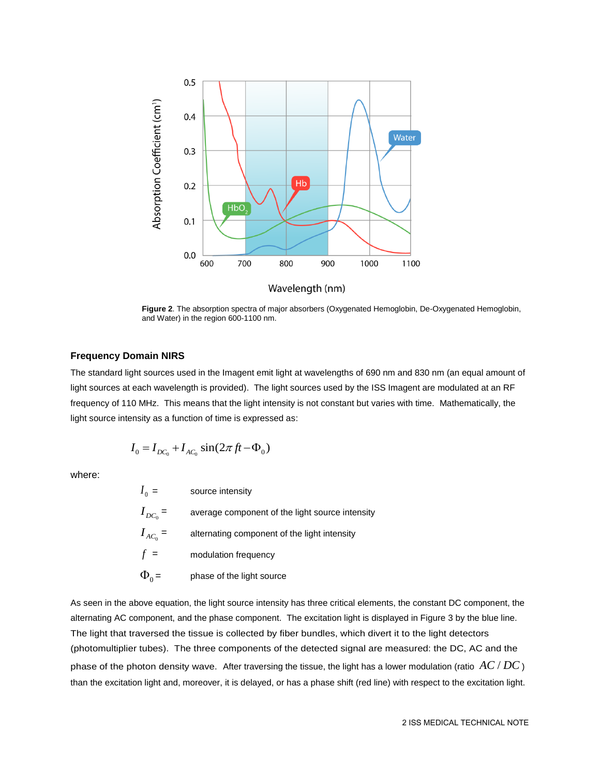

Wavelength (nm)

**Figure 2**. The absorption spectra of major absorbers (Oxygenated Hemoglobin, De-Oxygenated Hemoglobin, and Water) in the region 600-1100 nm.

#### **Frequency Domain NIRS**

The standard light sources used in the Imagent emit light at wavelengths of 690 nm and 830 nm (an equal amount of light sources at each wavelength is provided). The light sources used by the ISS Imagent are modulated at an RF frequency of 110 MHz. This means that the light intensity is not constant but varies with time. Mathematically, the light source intensity as a function of time is expressed as:

$$
I_0 = I_{DC_0} + I_{AC_0} \sin(2\pi ft - \Phi_0)
$$

where:

| $I_0 =$      | source intensity                                |
|--------------|-------------------------------------------------|
| $I_{DC_0}$ = | average component of the light source intensity |
| $I_{AC_0}$ = | alternating component of the light intensity    |
| $f =$        | modulation frequency                            |
| $\Phi_0 =$   | phase of the light source                       |

As seen in the above equation, the light source intensity has three critical elements, the constant DC component, the alternating AC component, and the phase component. The excitation light is displayed in Figure 3 by the blue line. The light that traversed the tissue is collected by fiber bundles, which divert it to the light detectors (photomultiplier tubes). The three components of the detected signal are measured: the DC, AC and the phase of the photon density wave. After traversing the tissue, the light has a lower modulation (ratio  $AC/DC$  ) than the excitation light and, moreover, it is delayed, or has a phase shift (red line) with respect to the excitation light.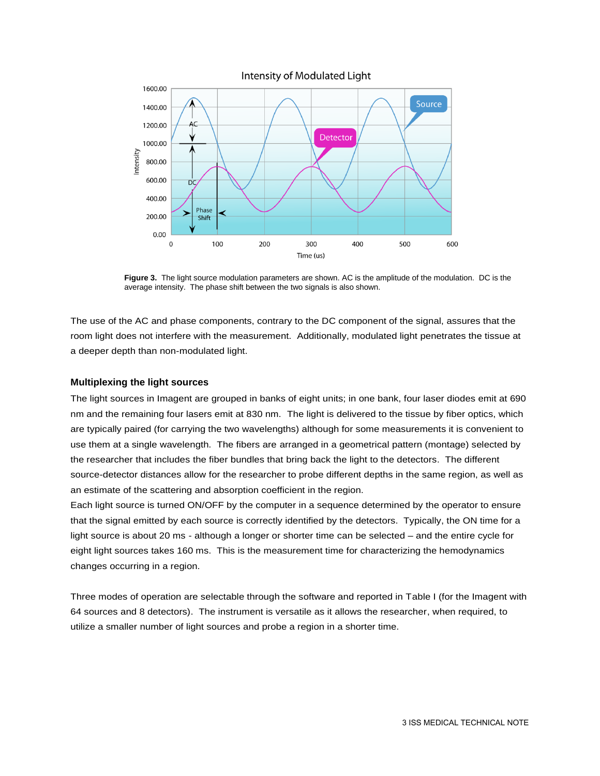

**Figure 3.** The light source modulation parameters are shown. AC is the amplitude of the modulation. DC is the average intensity. The phase shift between the two signals is also shown.

The use of the AC and phase components, contrary to the DC component of the signal, assures that the room light does not interfere with the measurement. Additionally, modulated light penetrates the tissue at a deeper depth than non-modulated light.

#### **Multiplexing the light sources**

The light sources in Imagent are grouped in banks of eight units; in one bank, four laser diodes emit at 690 nm and the remaining four lasers emit at 830 nm. The light is delivered to the tissue by fiber optics, which are typically paired (for carrying the two wavelengths) although for some measurements it is convenient to use them at a single wavelength. The fibers are arranged in a geometrical pattern (montage) selected by the researcher that includes the fiber bundles that bring back the light to the detectors. The different source-detector distances allow for the researcher to probe different depths in the same region, as well as an estimate of the scattering and absorption coefficient in the region.

Each light source is turned ON/OFF by the computer in a sequence determined by the operator to ensure that the signal emitted by each source is correctly identified by the detectors. Typically, the ON time for a light source is about 20 ms - although a longer or shorter time can be selected – and the entire cycle for eight light sources takes 160 ms. This is the measurement time for characterizing the hemodynamics changes occurring in a region.

Three modes of operation are selectable through the software and reported in Table I (for the Imagent with 64 sources and 8 detectors). The instrument is versatile as it allows the researcher, when required, to utilize a smaller number of light sources and probe a region in a shorter time.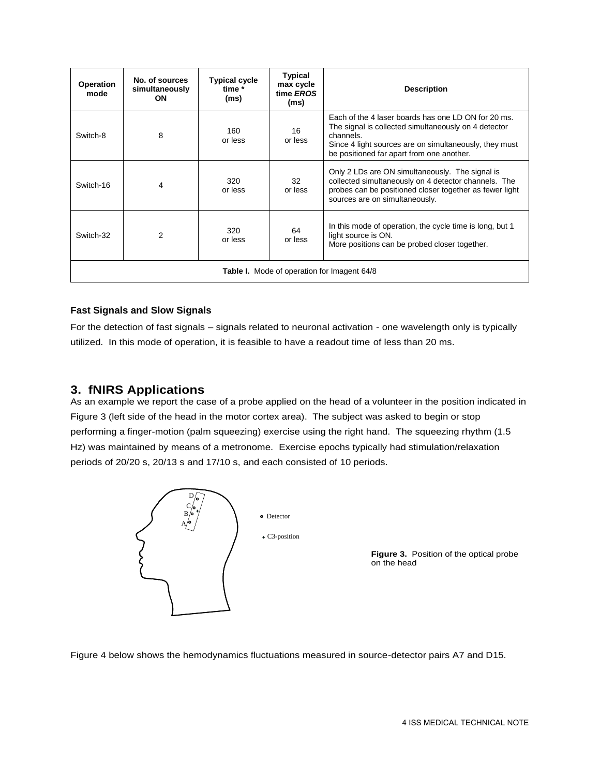| Operation<br>mode                                  | No. of sources<br>simultaneously<br>ON | <b>Typical cycle</b><br>time *<br>(ms) | <b>Typical</b><br>max cycle<br>time EROS<br>(ms) | <b>Description</b>                                                                                                                                                                                                              |  |
|----------------------------------------------------|----------------------------------------|----------------------------------------|--------------------------------------------------|---------------------------------------------------------------------------------------------------------------------------------------------------------------------------------------------------------------------------------|--|
| Switch-8                                           | 8                                      | 160<br>or less                         | 16<br>or less                                    | Each of the 4 laser boards has one LD ON for 20 ms.<br>The signal is collected simultaneously on 4 detector<br>channels.<br>Since 4 light sources are on simultaneously, they must<br>be positioned far apart from one another. |  |
| Switch-16                                          | 4                                      | 320<br>or less                         | 32<br>or less                                    | Only 2 LDs are ON simultaneously. The signal is<br>collected simultaneously on 4 detector channels. The<br>probes can be positioned closer together as fewer light<br>sources are on simultaneously.                            |  |
| Switch-32                                          | $\mathcal{P}$                          | 320<br>or less                         | 64<br>or less                                    | In this mode of operation, the cycle time is long, but 1<br>light source is ON.<br>More positions can be probed closer together.                                                                                                |  |
| <b>Table I.</b> Mode of operation for Imagent 64/8 |                                        |                                        |                                                  |                                                                                                                                                                                                                                 |  |

#### **Fast Signals and Slow Signals**

For the detection of fast signals – signals related to neuronal activation - one wavelength only is typically utilized. In this mode of operation, it is feasible to have a readout time of less than 20 ms.

## **3. fNIRS Applications**

As an example we report the case of a probe applied on the head of a volunteer in the position indicated in Figure 3 (left side of the head in the motor cortex area). The subject was asked to begin or stop performing a finger-motion (palm squeezing) exercise using the right hand. The squeezing rhythm (1.5 Hz) was maintained by means of a metronome. Exercise epochs typically had stimulation/relaxation periods of 20/20 s, 20/13 s and 17/10 s, and each consisted of 10 periods.



Figure 4 below shows the hemodynamics fluctuations measured in source-detector pairs A7 and D15.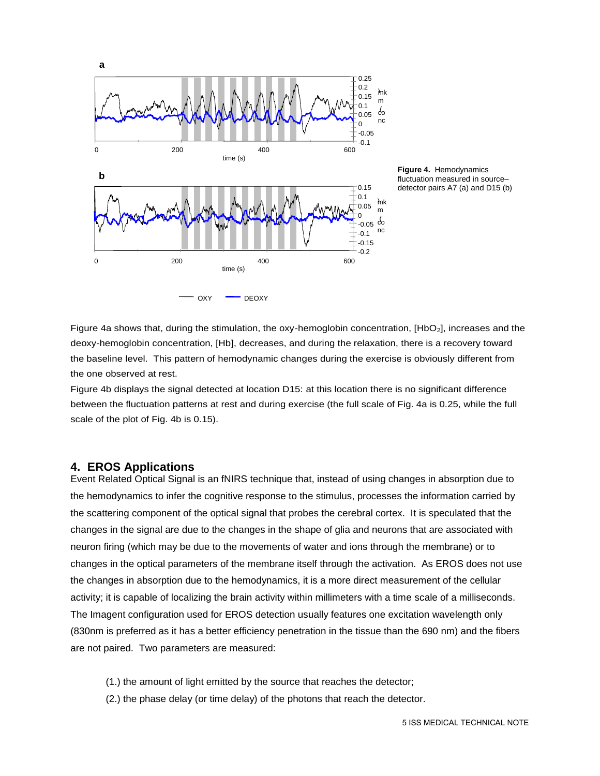

**Figure 4.** Hemodynamics fluctuation measured in source– detector pairs A7 (a) and D15 (b)

Figure 4a shows that, during the stimulation, the oxy-hemoglobin concentration, [HbO<sub>2</sub>], increases and the deoxy-hemoglobin concentration, [Hb], decreases, and during the relaxation, there is a recovery toward the baseline level. This pattern of hemodynamic changes during the exercise is obviously different from the one observed at rest.

Figure 4b displays the signal detected at location D15: at this location there is no significant difference between the fluctuation patterns at rest and during exercise (the full scale of Fig. 4a is 0.25, while the full scale of the plot of Fig. 4b is 0.15).

#### **4. EROS Applications**

Event Related Optical Signal is an fNIRS technique that, instead of using changes in absorption due to the hemodynamics to infer the cognitive response to the stimulus, processes the information carried by the scattering component of the optical signal that probes the cerebral cortex. It is speculated that the changes in the signal are due to the changes in the shape of glia and neurons that are associated with neuron firing (which may be due to the movements of water and ions through the membrane) or to changes in the optical parameters of the membrane itself through the activation. As EROS does not use the changes in absorption due to the hemodynamics, it is a more direct measurement of the cellular activity; it is capable of localizing the brain activity within millimeters with a time scale of a milliseconds. The Imagent configuration used for EROS detection usually features one excitation wavelength only (830nm is preferred as it has a better efficiency penetration in the tissue than the 690 nm) and the fibers are not paired. Two parameters are measured:

- (1.) the amount of light emitted by the source that reaches the detector;
- (2.) the phase delay (or time delay) of the photons that reach the detector.